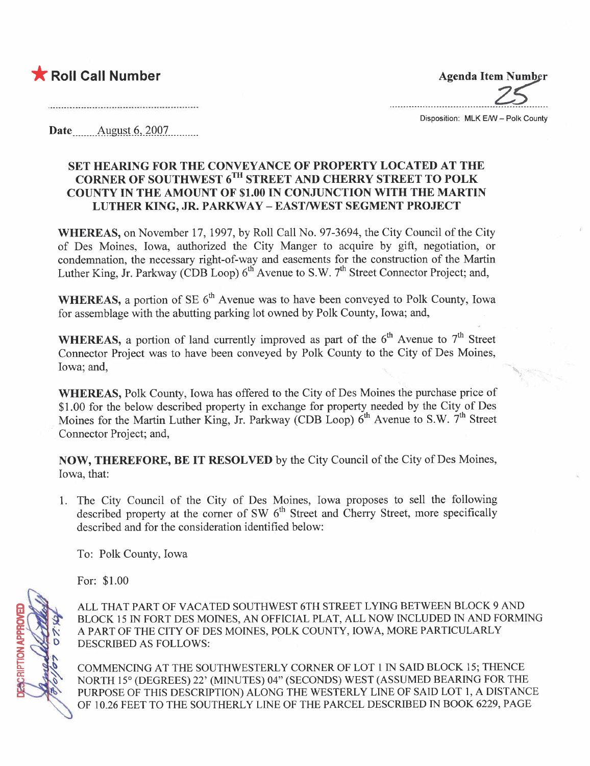## ★ Roll Call Number Agenda Item Number

.................\_-\_.............\_\_.......................

Disposition: MLK E/W - Polk County

Date \_\_\_\_\_ August 6, 2007

## SET HEARING FOR THE CONVEYANCE OF PROPERTY LOCATED AT THE CORNER OF SOUTHWEST 6TH STREET AND CHERRY STREET TO POLK COUNTY IN THE AMOUNT OF \$1.00 IN CONJUNCTION WITH THE MARTIN LUTHER KING, JR. PARKWAY - EAST/WEST SEGMENT PROJECT

WHEREAS, on November 17, 1997, by Roll Call No. 97-3694, the City Council of the City of Des Moines, Iowa, authorized the City Manger to acquire by gift, negotiation, or condemnation, the necessary right-of-way and easements for the construction of the Martin Luther King, Jr. Parkway (CDB Loop)  $6<sup>th</sup>$  Avenue to S.W.  $7<sup>th</sup>$  Street Connector Project; and,

WHEREAS, a portion of SE  $6<sup>th</sup>$  Avenue was to have been conveyed to Polk-County, Iowa for assemblage with the abutting parking lot owned by Polk County, Iowa; and,

WHEREAS, a portion of land currently improved as part of the  $6<sup>th</sup>$  Avenue to  $7<sup>th</sup>$  Street Connector Project was to have been conveyed by Polk County to the City of Des Moines, Iowa; and,

WHEREAS, Polk County, Iowa has offered to the City of Des Moines the purchase price of \$1.00 for the below described property in exchange for property needed by the City of Des Moines for the Martin Luther King, Jr. Parkway (CDB Loop)  $6<sup>th</sup>$  Avenue to S.W.  $7<sup>th</sup>$  Street Connector Project; and,

NOW, THEREFORE, BE IT RESOLVED by the City Council of the City of Des Moines, Iowa, that:

1. The City Council of the City of Des Moines, Iowa proposes to sell the following described property at the corner of SW  $6<sup>th</sup>$  Street and Cherry Street, more specifically described and for the consideration identified below:

To: Polk County, Iowa

For: \$1.00

**ENORGANDELISTS** 

ALL THAT PART OF VACATED SOUTHWEST 6TH STREET LYING BETWEEN BLOCK 9 AND BLOCK 15 IN FORT DES MOINES, AN OFFICIAL PLAT, ALL NOW INCLUDED IN AND FORMING A PART OF THE CITY OF DES MOINES, POLK COUNTY, IOWA, MORE PARTICULARLY DESCRIBED AS FOLLOWS:

COMMENCING AT THE SOUTHWESTERLY CORNER OF LOT 1 IN SAID BLOCK 15; THENCE NORTH 15° (DEGREES) 22' (MINUTES) 04" (SECONDS) WEST (ASSUMED BEARING FOR THE PURPOSE OF THIS DESCRIPTION) ALONG THE WESTERLY LINE OF SAID LOT 1, A DISTANCE OF 10.26 FEET TO THE SOUTHERLY LINE OF THE PARCEL DESCRIBED IN BOOK 6229, PAGE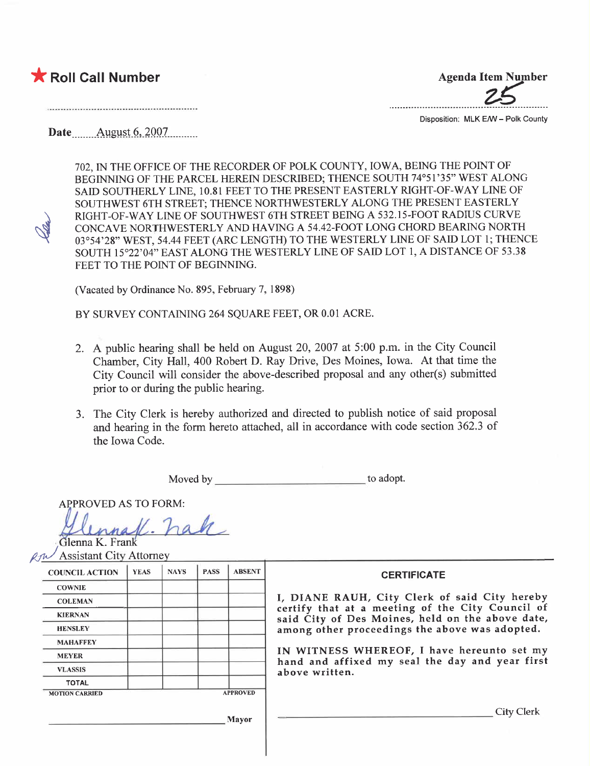## $\blacktriangleright$  Roll Call Number

 $\mathscr{A}$ 

**Agenda Item Number** 

Disposition: MLK E/W - Polk County

Date  $\frac{\text{August 6, 2007}}{\text{August 6, 2007}}$ 

702, IN THE OFFICE OF THE RECORDER OF POLK COUNTY, IOWA, BEING THE POINT OF BEGINNING OF THE PARCEL HEREIN DESCRIBED; THENCE SOUTH 74°51'35" WEST ALONG SAID SOUTHERLY LINE, 10.81 FEET TO THE PRESENT EASTERLY RIGHT-OF-WAY LINE OF SOUTHWEST 6TH STREET; THENCE NORTHWESTERLY ALONG THE PRESENT EASTERLY RIGHT-OF-WAY LINE OF SOUTHWEST 6TH STREET BEING A 532.15-FOOT RADIUS CURVE CONCAVE NORTHWESTERLY AND HAVING A 54.42-FOOT LONG CHORD BEARING NORTH 03°54'28" WEST, 54.44 FEET (ARC LENGTH) TO THE WESTERLY LINE OF SAID LOT 1; THENCE SOUTH 15°22'04" EAST ALONG THE WESTERLY LINE OF SAID LOT 1, A DISTANCE OF 53.38 FEET TO THE POINT OF BEGINNING.

(Vacated by Ordinance No. 895, February 7,1898)

BY SURVEY CONTAINING 264 SOUARE FEET, OR 0.01 ACRE.

- 2. A public hearing shall be held on August 20, 2007 at 5:00 p.m. in the City Council Chamber, City Hall, 400 Robert D. Ray Drive, Des Moines, Iowa. At that time the City Council will consider the above-described proposal and any other(s) submitted prior to or during the public hearing.
- 3. The City Clerk is hereby authorized and directed to publish notice of said proposal and hearing in the form hereto attached, all in accordance with code section 362.3 of the Iowa Code.

Moved by to adopt.

APPROVED AS TO FORM:

innafl. hak

Assistant City Attorney

| <b>COUNCIL ACTION</b> | <b>YEAS</b> | <b>NAYS</b>     | <b>PASS</b> | <b>ABSENT</b> |
|-----------------------|-------------|-----------------|-------------|---------------|
| <b>COWNIE</b>         |             |                 |             |               |
| <b>COLEMAN</b>        |             |                 |             |               |
| <b>KIERNAN</b>        |             |                 |             |               |
| <b>HENSLEY</b>        |             |                 |             |               |
| <b>MAHAFFEY</b>       |             |                 |             |               |
| <b>MEYER</b>          |             |                 |             |               |
| <b>VLASSIS</b>        |             |                 |             |               |
| <b>TOTAL</b>          |             |                 |             |               |
| <b>MOTION CARRIED</b> |             | <b>APPROVED</b> |             |               |

## **CERTIFICATE**

I, DIANE RAUH, City Clerk of said City hereby certify that at a meeting of the City Council of said City of Des Moines, held on the above date, among other proceedings the above was adopted.

IN WITNESS WHEREOF, I have hereunto set my hand and affixed my seal the day and year first above written.

City Clerk

Mayor